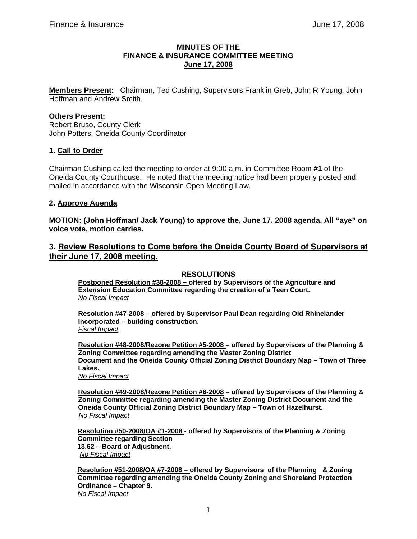### **MINUTES OF THE FINANCE & INSURANCE COMMITTEE MEETING June 17, 2008**

**Members Present:** Chairman, Ted Cushing, Supervisors Franklin Greb, John R Young, John Hoffman and Andrew Smith.

# **Others Present:**

Robert Bruso, County Clerk John Potters, Oneida County Coordinator

### **1. Call to Order**

Chairman Cushing called the meeting to order at 9:00 a.m. in Committee Room #**1** of the Oneida County Courthouse. He noted that the meeting notice had been properly posted and mailed in accordance with the Wisconsin Open Meeting Law.

### **2. Approve Agenda**

**MOTION: (John Hoffman/ Jack Young) to approve the, June 17, 2008 agenda. All "aye" on voice vote, motion carries.** 

# **3. Review Resolutions to Come before the Oneida County Board of Supervisors at their June 17, 2008 meeting.**

## **RESOLUTIONS**

**Postponed Resolution #38-2008 – offered by Supervisors of the Agriculture and Extension Education Committee regarding the creation of a Teen Court.**  *No Fiscal Impact*

**Resolution #47-2008 – offered by Supervisor Paul Dean regarding Old Rhinelander Incorporated – building construction.**  *Fiscal Impact*

**Resolution #48-2008/Rezone Petition #5-2008 – offered by Supervisors of the Planning & Zoning Committee regarding amending the Master Zoning District Document and the Oneida County Official Zoning District Boundary Map – Town of Three Lakes.** 

*No Fiscal Impact*

**Resolution #49-2008/Rezone Petition #6-2008 – offered by Supervisors of the Planning & Zoning Committee regarding amending the Master Zoning District Document and the Oneida County Official Zoning District Boundary Map – Town of Hazelhurst.**  *No Fiscal Impact*

**Resolution #50-2008/OA #1-2008 - offered by Supervisors of the Planning & Zoning Committee regarding Section 13.62 – Board of Adjustment.**  *No Fiscal Impact*

 **Resolution #51-2008/OA #7-2008 – offered by Supervisors of the Planning & Zoning Committee regarding amending the Oneida County Zoning and Shoreland Protection Ordinance – Chapter 9.**  *No Fiscal Impact*